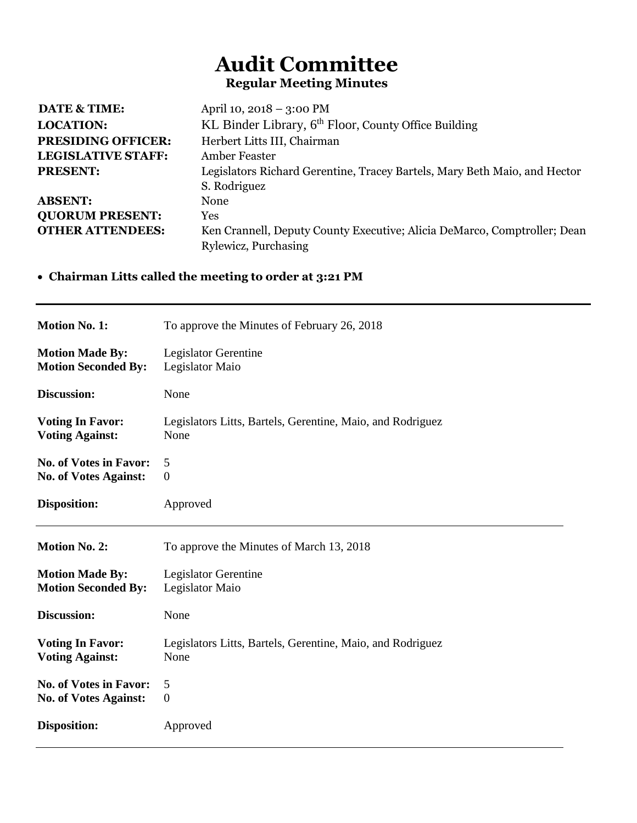## **Audit Committee Regular Meeting Minutes**

| <b>DATE &amp; TIME:</b>   | April 10, 2018 - 3:00 PM                                                  |
|---------------------------|---------------------------------------------------------------------------|
| <b>LOCATION:</b>          | KL Binder Library, 6 <sup>th</sup> Floor, County Office Building          |
| <b>PRESIDING OFFICER:</b> | Herbert Litts III, Chairman                                               |
| <b>LEGISLATIVE STAFF:</b> | <b>Amber Feaster</b>                                                      |
| <b>PRESENT:</b>           | Legislators Richard Gerentine, Tracey Bartels, Mary Beth Maio, and Hector |
|                           | S. Rodriguez                                                              |
| <b>ABSENT:</b>            | None                                                                      |
| <b>QUORUM PRESENT:</b>    | Yes                                                                       |
| <b>OTHER ATTENDEES:</b>   | Ken Crannell, Deputy County Executive; Alicia DeMarco, Comptroller; Dean  |
|                           | Rylewicz, Purchasing                                                      |
|                           |                                                                           |

## • **Chairman Litts called the meeting to order at 3:21 PM**

| <b>Motion No. 1:</b>          | To approve the Minutes of February 26, 2018                |
|-------------------------------|------------------------------------------------------------|
| <b>Motion Made By:</b>        | Legislator Gerentine                                       |
| <b>Motion Seconded By:</b>    | Legislator Maio                                            |
| Discussion:                   | None                                                       |
| <b>Voting In Favor:</b>       | Legislators Litts, Bartels, Gerentine, Maio, and Rodriguez |
| <b>Voting Against:</b>        | None                                                       |
| <b>No. of Votes in Favor:</b> | 5                                                          |
| <b>No. of Votes Against:</b>  | $\boldsymbol{0}$                                           |
| <b>Disposition:</b>           | Approved                                                   |
|                               |                                                            |
| <b>Motion No. 2:</b>          | To approve the Minutes of March 13, 2018                   |
| <b>Motion Made By:</b>        | <b>Legislator Gerentine</b>                                |
| <b>Motion Seconded By:</b>    | Legislator Maio                                            |
| Discussion:                   | None                                                       |
| <b>Voting In Favor:</b>       | Legislators Litts, Bartels, Gerentine, Maio, and Rodriguez |
| <b>Voting Against:</b>        | None                                                       |
| <b>No. of Votes in Favor:</b> | 5                                                          |
| <b>No. of Votes Against:</b>  | $\boldsymbol{0}$                                           |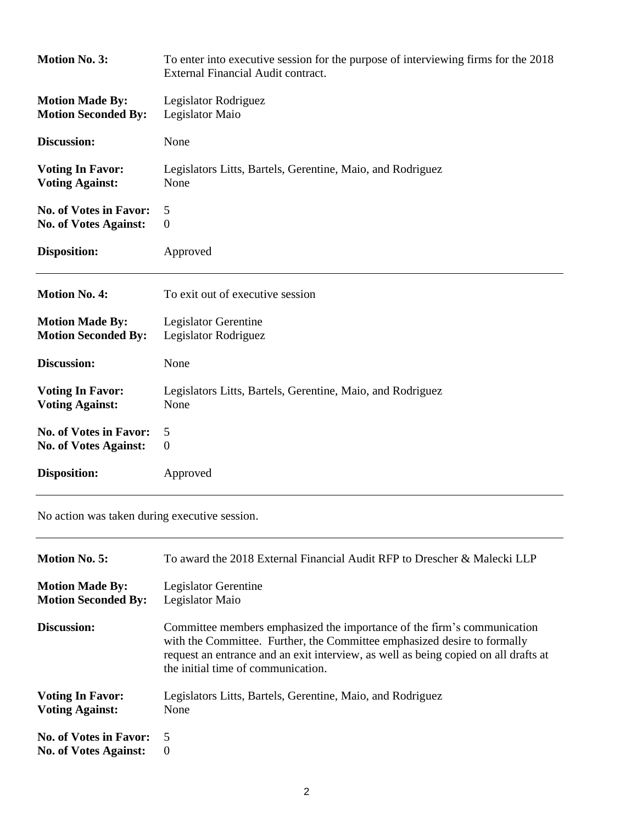| <b>Motion No. 3:</b>          | To enter into executive session for the purpose of interviewing firms for the 2018<br>External Financial Audit contract. |
|-------------------------------|--------------------------------------------------------------------------------------------------------------------------|
| <b>Motion Made By:</b>        | Legislator Rodriguez                                                                                                     |
| <b>Motion Seconded By:</b>    | Legislator Maio                                                                                                          |
| Discussion:                   | None                                                                                                                     |
| <b>Voting In Favor:</b>       | Legislators Litts, Bartels, Gerentine, Maio, and Rodriguez                                                               |
| <b>Voting Against:</b>        | None                                                                                                                     |
| <b>No. of Votes in Favor:</b> | 5                                                                                                                        |
| <b>No. of Votes Against:</b>  | $\overline{0}$                                                                                                           |
| <b>Disposition:</b>           | Approved                                                                                                                 |
|                               |                                                                                                                          |
| <b>Motion No. 4:</b>          | To exit out of executive session                                                                                         |
| <b>Motion Made By:</b>        | <b>Legislator Gerentine</b>                                                                                              |
| <b>Motion Seconded By:</b>    | Legislator Rodriguez                                                                                                     |
| Discussion:                   | None                                                                                                                     |
| <b>Voting In Favor:</b>       | Legislators Litts, Bartels, Gerentine, Maio, and Rodriguez                                                               |
| <b>Voting Against:</b>        | None                                                                                                                     |
| <b>No. of Votes in Favor:</b> | 5                                                                                                                        |
| <b>No. of Votes Against:</b>  | $\boldsymbol{0}$                                                                                                         |

No action was taken during executive session.

| <b>Motion No. 5:</b>          | To award the 2018 External Financial Audit RFP to Drescher & Malecki LLP                                                                                                                                                                                                         |
|-------------------------------|----------------------------------------------------------------------------------------------------------------------------------------------------------------------------------------------------------------------------------------------------------------------------------|
| <b>Motion Made By:</b>        | Legislator Gerentine                                                                                                                                                                                                                                                             |
| <b>Motion Seconded By:</b>    | Legislator Maio                                                                                                                                                                                                                                                                  |
| Discussion:                   | Committee members emphasized the importance of the firm's communication<br>with the Committee. Further, the Committee emphasized desire to formally<br>request an entrance and an exit interview, as well as being copied on all drafts at<br>the initial time of communication. |
| <b>Voting In Favor:</b>       | Legislators Litts, Bartels, Gerentine, Maio, and Rodriguez                                                                                                                                                                                                                       |
| <b>Voting Against:</b>        | None                                                                                                                                                                                                                                                                             |
| <b>No. of Votes in Favor:</b> | .5                                                                                                                                                                                                                                                                               |
| <b>No. of Votes Against:</b>  | $\boldsymbol{0}$                                                                                                                                                                                                                                                                 |